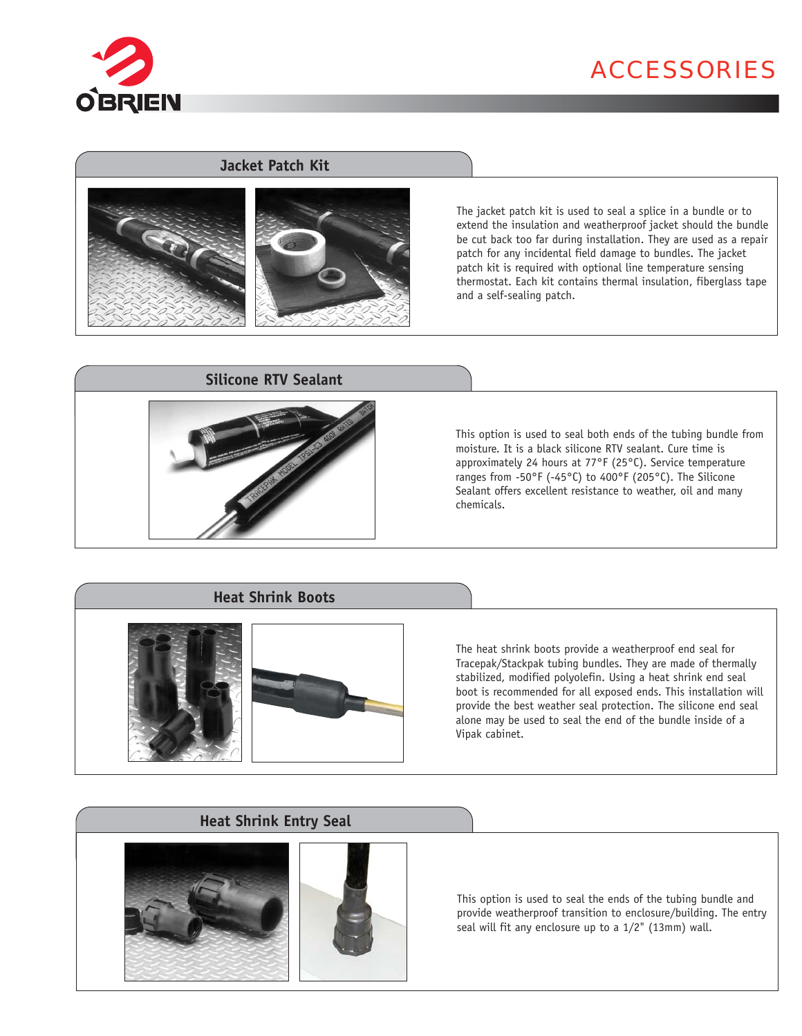

# ACCESSORIES

## **Jacket Patch Kit**





The jacket patch kit is used to seal a splice in a bundle or to extend the insulation and weatherproof jacket should the bundle be cut back too far during installation. They are used as a repair patch for any incidental field damage to bundles. The jacket patch kit is required with optional line temperature sensing thermostat. Each kit contains thermal insulation, fiberglass tape and a self-sealing patch.

### **Silicone RTV Sealant**



This option is used to seal both ends of the tubing bundle from moisture. It is a black silicone RTV sealant. Cure time is approximately 24 hours at 77°F (25°C). Service temperature ranges from -50°F (-45°C) to 400°F (205°C). The Silicone Sealant offers excellent resistance to weather, oil and many chemicals.

## **Heat Shrink Boots**



The heat shrink boots provide a weatherproof end seal for Tracepak/Stackpak tubing bundles. They are made of thermally stabilized, modified polyolefin. Using a heat shrink end seal boot is recommended for all exposed ends. This installation will provide the best weather seal protection. The silicone end seal alone may be used to seal the end of the bundle inside of a Vipak cabinet.

## **Heat Shrink Entry Seal**





This option is used to seal the ends of the tubing bundle and provide weatherproof transition to enclosure/building. The entry seal will fit any enclosure up to a 1/2" (13mm) wall.